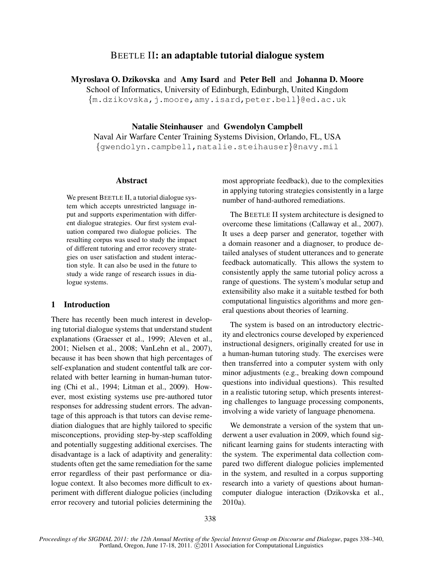# BEETLE II: an adaptable tutorial dialogue system

Myroslava O. Dzikovska and Amy Isard and Peter Bell and Johanna D. Moore School of Informatics, University of Edinburgh, Edinburgh, United Kingdom {m.dzikovska,j.moore,amy.isard,peter.bell}@ed.ac.uk

Natalie Steinhauser and Gwendolyn Campbell Naval Air Warfare Center Training Systems Division, Orlando, FL, USA {gwendolyn.campbell,natalie.steihauser}@navy.mil

## Abstract

We present BEETLE II, a tutorial dialogue system which accepts unrestricted language input and supports experimentation with different dialogue strategies. Our first system evaluation compared two dialogue policies. The resulting corpus was used to study the impact of different tutoring and error recovery strategies on user satisfaction and student interaction style. It can also be used in the future to study a wide range of research issues in dialogue systems.

## 1 Introduction

There has recently been much interest in developing tutorial dialogue systems that understand student explanations (Graesser et al., 1999; Aleven et al., 2001; Nielsen et al., 2008; VanLehn et al., 2007), because it has been shown that high percentages of self-explanation and student contentful talk are correlated with better learning in human-human tutoring (Chi et al., 1994; Litman et al., 2009). However, most existing systems use pre-authored tutor responses for addressing student errors. The advantage of this approach is that tutors can devise remediation dialogues that are highly tailored to specific misconceptions, providing step-by-step scaffolding and potentially suggesting additional exercises. The disadvantage is a lack of adaptivity and generality: students often get the same remediation for the same error regardless of their past performance or dialogue context. It also becomes more difficult to experiment with different dialogue policies (including error recovery and tutorial policies determining the most appropriate feedback), due to the complexities in applying tutoring strategies consistently in a large number of hand-authored remediations.

The BEETLE II system architecture is designed to overcome these limitations (Callaway et al., 2007). It uses a deep parser and generator, together with a domain reasoner and a diagnoser, to produce detailed analyses of student utterances and to generate feedback automatically. This allows the system to consistently apply the same tutorial policy across a range of questions. The system's modular setup and extensibility also make it a suitable testbed for both computational linguistics algorithms and more general questions about theories of learning.

The system is based on an introductory electricity and electronics course developed by experienced instructional designers, originally created for use in a human-human tutoring study. The exercises were then transferred into a computer system with only minor adjustments (e.g., breaking down compound questions into individual questions). This resulted in a realistic tutoring setup, which presents interesting challenges to language processing components, involving a wide variety of language phenomena.

We demonstrate a version of the system that underwent a user evaluation in 2009, which found significant learning gains for students interacting with the system. The experimental data collection compared two different dialogue policies implemented in the system, and resulted in a corpus supporting research into a variety of questions about humancomputer dialogue interaction (Dzikovska et al., 2010a).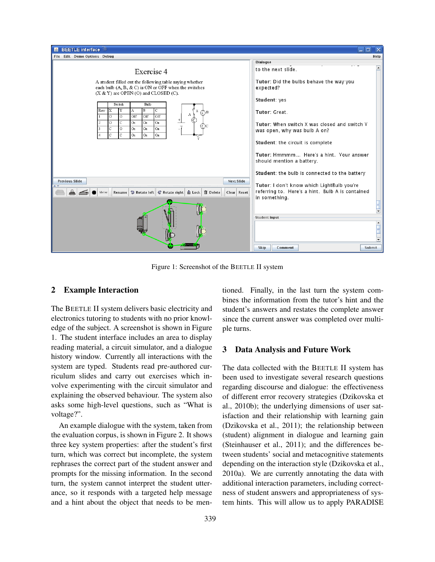

Figure 1: Screenshot of the BEETLE II system

## 2 Example Interaction

The BEETLE II system delivers basic electricity and electronics tutoring to students with no prior knowledge of the subject. A screenshot is shown in Figure 1. The student interface includes an area to display reading material, a circuit simulator, and a dialogue history window. Currently all interactions with the system are typed. Students read pre-authored curriculum slides and carry out exercises which involve experimenting with the circuit simulator and explaining the observed behaviour. The system also asks some high-level questions, such as "What is voltage?".

An example dialogue with the system, taken from the evaluation corpus, is shown in Figure 2. It shows three key system properties: after the student's first turn, which was correct but incomplete, the system rephrases the correct part of the student answer and prompts for the missing information. In the second turn, the system cannot interpret the student utterance, so it responds with a targeted help message and a hint about the object that needs to be mentioned. Finally, in the last turn the system combines the information from the tutor's hint and the student's answers and restates the complete answer since the current answer was completed over multiple turns.

#### 3 Data Analysis and Future Work

The data collected with the BEETLE II system has been used to investigate several research questions regarding discourse and dialogue: the effectiveness of different error recovery strategies (Dzikovska et al., 2010b); the underlying dimensions of user satisfaction and their relationship with learning gain (Dzikovska et al., 2011); the relationship between (student) alignment in dialogue and learning gain (Steinhauser et al., 2011); and the differences between students' social and metacognitive statements depending on the interaction style (Dzikovska et al., 2010a). We are currently annotating the data with additional interaction parameters, including correctness of student answers and appropriateness of system hints. This will allow us to apply PARADISE